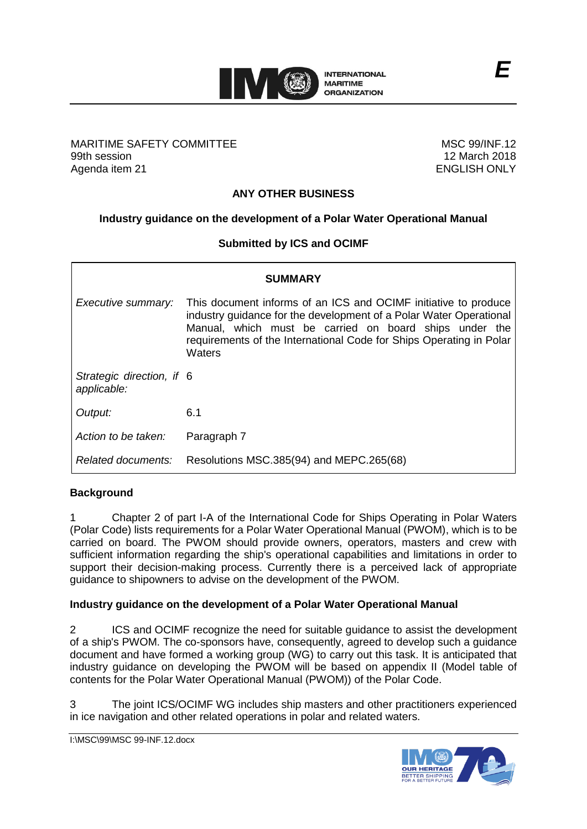

### MARITIME SAFETY COMMITTEE 99th session Agenda item 21

MSC 99/INF.12 12 March 2018 ENGLISH ONLY

# **ANY OTHER BUSINESS**

## **Industry guidance on the development of a Polar Water Operational Manual**

### **Submitted by ICS and OCIMF**

| SUMMARY                                  |                                                                                                                                                                                                                                                                                  |
|------------------------------------------|----------------------------------------------------------------------------------------------------------------------------------------------------------------------------------------------------------------------------------------------------------------------------------|
| Executive summary:                       | This document informs of an ICS and OCIMF initiative to produce<br>industry guidance for the development of a Polar Water Operational<br>Manual, which must be carried on board ships under the<br>requirements of the International Code for Ships Operating in Polar<br>Waters |
| Strategic direction, if 6<br>applicable: |                                                                                                                                                                                                                                                                                  |
| Output:                                  | 6.1                                                                                                                                                                                                                                                                              |
| Action to be taken:                      | Paragraph 7                                                                                                                                                                                                                                                                      |
| Related documents:                       | Resolutions MSC.385(94) and MEPC.265(68)                                                                                                                                                                                                                                         |

### **Background**

1 Chapter 2 of part I-A of the International Code for Ships Operating in Polar Waters (Polar Code) lists requirements for a Polar Water Operational Manual (PWOM), which is to be carried on board. The PWOM should provide owners, operators, masters and crew with sufficient information regarding the ship's operational capabilities and limitations in order to support their decision-making process. Currently there is a perceived lack of appropriate guidance to shipowners to advise on the development of the PWOM.

### **Industry guidance on the development of a Polar Water Operational Manual**

2 ICS and OCIMF recognize the need for suitable guidance to assist the development of a ship's PWOM. The co-sponsors have, consequently, agreed to develop such a guidance document and have formed a working group (WG) to carry out this task. It is anticipated that industry guidance on developing the PWOM will be based on appendix II (Model table of contents for the Polar Water Operational Manual (PWOM)) of the Polar Code.

3 The joint ICS/OCIMF WG includes ship masters and other practitioners experienced in ice navigation and other related operations in polar and related waters.